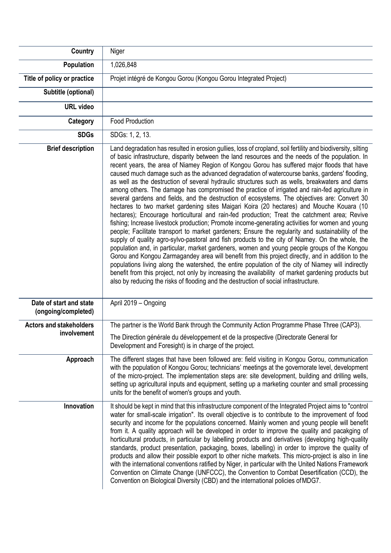| <b>Country</b>                                 | Niger                                                                                                                                                                                                                                                                                                                                                                                                                                                                                                                                                                                                                                                                                                                                                                                                                                                                                                                                                                                                                                                                                                                                                                                                                                                                                                                                                                                                                                                                                                                                                                                                                                                                                                                                     |
|------------------------------------------------|-------------------------------------------------------------------------------------------------------------------------------------------------------------------------------------------------------------------------------------------------------------------------------------------------------------------------------------------------------------------------------------------------------------------------------------------------------------------------------------------------------------------------------------------------------------------------------------------------------------------------------------------------------------------------------------------------------------------------------------------------------------------------------------------------------------------------------------------------------------------------------------------------------------------------------------------------------------------------------------------------------------------------------------------------------------------------------------------------------------------------------------------------------------------------------------------------------------------------------------------------------------------------------------------------------------------------------------------------------------------------------------------------------------------------------------------------------------------------------------------------------------------------------------------------------------------------------------------------------------------------------------------------------------------------------------------------------------------------------------------|
| Population                                     | 1,026,848                                                                                                                                                                                                                                                                                                                                                                                                                                                                                                                                                                                                                                                                                                                                                                                                                                                                                                                                                                                                                                                                                                                                                                                                                                                                                                                                                                                                                                                                                                                                                                                                                                                                                                                                 |
| Title of policy or practice                    | Projet intégré de Kongou Gorou (Kongou Gorou Integrated Project)                                                                                                                                                                                                                                                                                                                                                                                                                                                                                                                                                                                                                                                                                                                                                                                                                                                                                                                                                                                                                                                                                                                                                                                                                                                                                                                                                                                                                                                                                                                                                                                                                                                                          |
| Subtitle (optional)                            |                                                                                                                                                                                                                                                                                                                                                                                                                                                                                                                                                                                                                                                                                                                                                                                                                                                                                                                                                                                                                                                                                                                                                                                                                                                                                                                                                                                                                                                                                                                                                                                                                                                                                                                                           |
| <b>URL video</b>                               |                                                                                                                                                                                                                                                                                                                                                                                                                                                                                                                                                                                                                                                                                                                                                                                                                                                                                                                                                                                                                                                                                                                                                                                                                                                                                                                                                                                                                                                                                                                                                                                                                                                                                                                                           |
| Category                                       | <b>Food Production</b>                                                                                                                                                                                                                                                                                                                                                                                                                                                                                                                                                                                                                                                                                                                                                                                                                                                                                                                                                                                                                                                                                                                                                                                                                                                                                                                                                                                                                                                                                                                                                                                                                                                                                                                    |
| <b>SDGs</b>                                    | SDGs: 1, 2, 13.                                                                                                                                                                                                                                                                                                                                                                                                                                                                                                                                                                                                                                                                                                                                                                                                                                                                                                                                                                                                                                                                                                                                                                                                                                                                                                                                                                                                                                                                                                                                                                                                                                                                                                                           |
| <b>Brief description</b>                       | Land degradation has resulted in erosion gullies, loss of cropland, soil fertility and biodiversity, silting<br>of basic infrastructure, disparity between the land resources and the needs of the population. In<br>recent years, the area of Niamey Region of Kongou Gorou has suffered major floods that have<br>caused much damage such as the advanced degradation of watercourse banks, gardens' flooding,<br>as well as the destruction of several hydraulic structures such as wells, breakwaters and dams<br>among others. The damage has compromised the practice of irrigated and rain-fed agriculture in<br>several gardens and fields, and the destruction of ecosystems. The objectives are: Convert 30<br>hectares to two market gardening sites Maigari Koira (20 hectares) and Mouche Kouara (10<br>hectares); Encourage horticultural and rain-fed production; Treat the catchment area; Revive<br>fishing; Increase livestock production; Promote income-generating activities for women and young<br>people; Facilitate transport to market gardeners; Ensure the regularity and sustainability of the<br>supply of quality agro-sylvo-pastoral and fish products to the city of Niamey. On the whole, the<br>population and, in particular, market gardeners, women and young people groups of the Kongou<br>Gorou and Kongou Zarmagandey area will benefit from this project directly, and in addition to the<br>populations living along the watershed, the entire population of the city of Niamey will indirectly<br>benefit from this project, not only by increasing the availability of market gardening products but<br>also by reducing the risks of flooding and the destruction of social infrastructure. |
| Date of start and state<br>(ongoing/completed) | April 2019 - Ongoing                                                                                                                                                                                                                                                                                                                                                                                                                                                                                                                                                                                                                                                                                                                                                                                                                                                                                                                                                                                                                                                                                                                                                                                                                                                                                                                                                                                                                                                                                                                                                                                                                                                                                                                      |
| <b>Actors and stakeholders</b><br>involvement  | The partner is the World Bank through the Community Action Programme Phase Three (CAP3).                                                                                                                                                                                                                                                                                                                                                                                                                                                                                                                                                                                                                                                                                                                                                                                                                                                                                                                                                                                                                                                                                                                                                                                                                                                                                                                                                                                                                                                                                                                                                                                                                                                  |
|                                                | The Direction générale du développement et de la prospective (Directorate General for<br>Development and Foresight) is in charge of the project.                                                                                                                                                                                                                                                                                                                                                                                                                                                                                                                                                                                                                                                                                                                                                                                                                                                                                                                                                                                                                                                                                                                                                                                                                                                                                                                                                                                                                                                                                                                                                                                          |
| Approach                                       | The different stages that have been followed are: field visiting in Kongou Gorou, communication<br>with the population of Kongou Gorou; technicians' meetings at the governorate level, development<br>of the micro-project. The implementation steps are: site development, building and drilling wells,<br>setting up agricultural inputs and equipment, setting up a marketing counter and small processing<br>units for the benefit of women's groups and youth.                                                                                                                                                                                                                                                                                                                                                                                                                                                                                                                                                                                                                                                                                                                                                                                                                                                                                                                                                                                                                                                                                                                                                                                                                                                                      |
| Innovation                                     | It should be kept in mind that this infrastructure component of the Integrated Project aims to "control<br>water for small-scale irrigation". Its overall objective is to contribute to the improvement of food<br>security and income for the populations concerned. Mainly women and young people will benefit<br>from it. A quality approach will be developed in order to improve the quality and pacakging of<br>horticultural products, in particular by labelling products and derivatives (developing high-quality<br>standards, product presentation, packaging, boxes, labelling) in order to improve the quality of<br>products and allow their possible export to other niche markets. This micro-project is also in line<br>with the international conventions ratified by Niger, in particular with the United Nations Framework<br>Convention on Climate Change (UNFCCC), the Convention to Combat Desertification (CCD), the<br>Convention on Biological Diversity (CBD) and the international policies of MDG7.                                                                                                                                                                                                                                                                                                                                                                                                                                                                                                                                                                                                                                                                                                          |